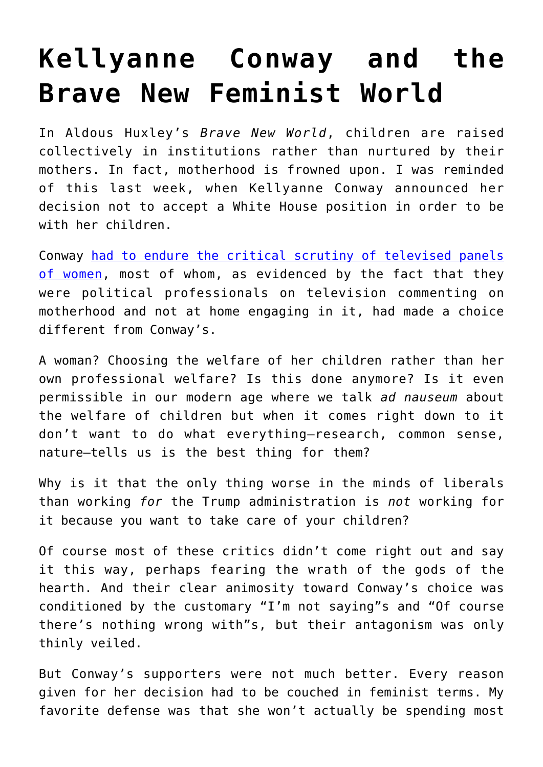## **[Kellyanne Conway and the](https://intellectualtakeout.org/2016/12/kellyanne-conway-and-the-brave-new-feminist-world/) [Brave New Feminist World](https://intellectualtakeout.org/2016/12/kellyanne-conway-and-the-brave-new-feminist-world/)**

In Aldous Huxley's *Brave New World*, children are raised collectively in institutions rather than nurtured by their mothers. In fact, motherhood is frowned upon. I was reminded of this last week, when Kellyanne Conway announced her decision not to accept a White House position in order to be with her children.

Conway [had to endure the critical scrutiny of televised panels](https://thefederalist.com/2016/12/09/kellyanne-conway-tells-truth-about-working-moms-competing-priorities-media-flips-its-shit/) [of women](https://thefederalist.com/2016/12/09/kellyanne-conway-tells-truth-about-working-moms-competing-priorities-media-flips-its-shit/), most of whom, as evidenced by the fact that they were political professionals on television commenting on motherhood and not at home engaging in it, had made a choice different from Conway's.

A woman? Choosing the welfare of her children rather than her own professional welfare? Is this done anymore? Is it even permissible in our modern age where we talk *ad nauseum* about the welfare of children but when it comes right down to it don't want to do what everything—research, common sense, nature—tells us is the best thing for them?

Why is it that the only thing worse in the minds of liberals than working *for* the Trump administration is *not* working for it because you want to take care of your children?

Of course most of these critics didn't come right out and say it this way, perhaps fearing the wrath of the gods of the hearth. And their clear animosity toward Conway's choice was conditioned by the customary "I'm not saying"s and "Of course there's nothing wrong with"s, but their antagonism was only thinly veiled.

But Conway's supporters were not much better. Every reason given for her decision had to be couched in feminist terms. My favorite defense was that she won't actually be spending most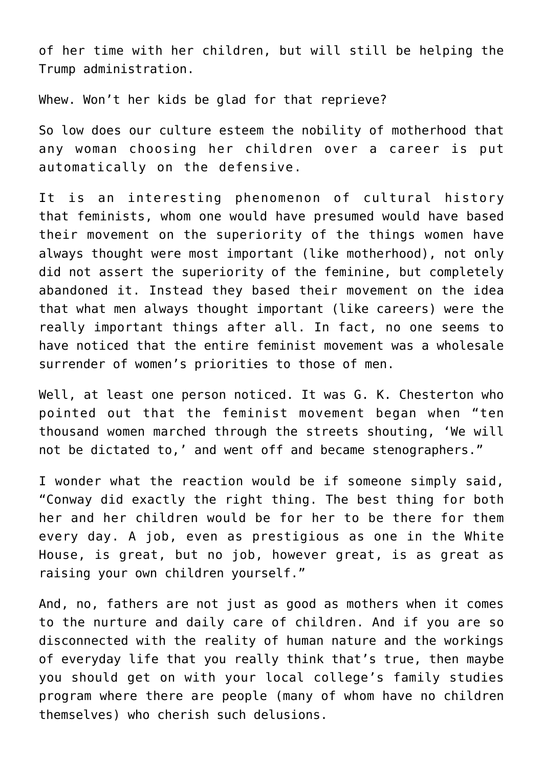of her time with her children, but will still be helping the Trump administration.

Whew. Won't her kids be glad for that reprieve?

So low does our culture esteem the nobility of motherhood that any woman choosing her children over a career is put automatically on the defensive.

It is an interesting phenomenon of cultural history that feminists, whom one would have presumed would have based their movement on the superiority of the things women have always thought were most important (like motherhood), not only did not assert the superiority of the feminine, but completely abandoned it. Instead they based their movement on the idea that what men always thought important (like careers) were the really important things after all. In fact, no one seems to have noticed that the entire feminist movement was a wholesale surrender of women's priorities to those of men.

Well, at least one person noticed. It was G. K. Chesterton who pointed out that the feminist movement began when "ten thousand women marched through the streets shouting, 'We will not be dictated to,' and went off and became stenographers."

I wonder what the reaction would be if someone simply said, "Conway did exactly the right thing. The best thing for both her and her children would be for her to be there for them every day. A job, even as prestigious as one in the White House, is great, but no job, however great, is as great as raising your own children yourself."

And, no, fathers are not just as good as mothers when it comes to the nurture and daily care of children. And if you are so disconnected with the reality of human nature and the workings of everyday life that you really think that's true, then maybe you should get on with your local college's family studies program where there are people (many of whom have no children themselves) who cherish such delusions.